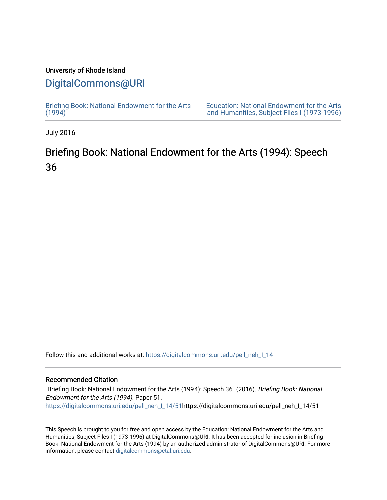### University of Rhode Island

## [DigitalCommons@URI](https://digitalcommons.uri.edu/)

[Briefing Book: National Endowment for the Arts](https://digitalcommons.uri.edu/pell_neh_I_14)  $(1994)$ 

[Education: National Endowment for the Arts](https://digitalcommons.uri.edu/pell_neh_I)  [and Humanities, Subject Files I \(1973-1996\)](https://digitalcommons.uri.edu/pell_neh_I) 

July 2016

# Briefing Book: National Endowment for the Arts (1994): Speech 36

Follow this and additional works at: [https://digitalcommons.uri.edu/pell\\_neh\\_I\\_14](https://digitalcommons.uri.edu/pell_neh_I_14?utm_source=digitalcommons.uri.edu%2Fpell_neh_I_14%2F51&utm_medium=PDF&utm_campaign=PDFCoverPages) 

#### Recommended Citation

"Briefing Book: National Endowment for the Arts (1994): Speech 36" (2016). Briefing Book: National Endowment for the Arts (1994). Paper 51. [https://digitalcommons.uri.edu/pell\\_neh\\_I\\_14/51h](https://digitalcommons.uri.edu/pell_neh_I_14/51?utm_source=digitalcommons.uri.edu%2Fpell_neh_I_14%2F51&utm_medium=PDF&utm_campaign=PDFCoverPages)ttps://digitalcommons.uri.edu/pell\_neh\_I\_14/51

This Speech is brought to you for free and open access by the Education: National Endowment for the Arts and Humanities, Subject Files I (1973-1996) at DigitalCommons@URI. It has been accepted for inclusion in Briefing Book: National Endowment for the Arts (1994) by an authorized administrator of DigitalCommons@URI. For more information, please contact [digitalcommons@etal.uri.edu.](mailto:digitalcommons@etal.uri.edu)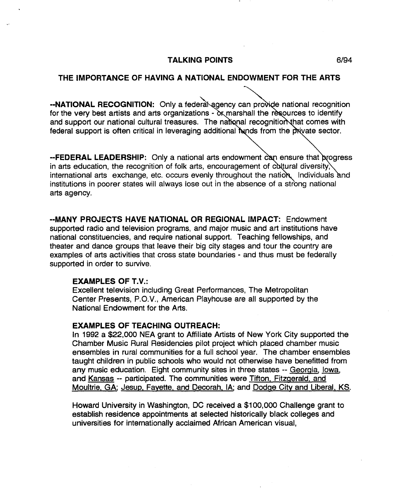#### **TALKING POINTS** 6/94

#### **THE IMPORTANCE OF HAVING A NATIONAL ENDOWMENT FOR THE ARTS**

**--NATIONAL RECOGNITION:** Only a federa agency can provide national recognition for the very best artists and arts organizations  $-\alpha x$  marshall the resources to identify and support our national cultural treasures. The national recognition that comes with federal support is often critical in leveraging additional funds from the private sector.

**--FEDERAL LEADERSHIP:** Only a national arts endowment can ensure that progress in arts education, the recognition of folk arts, encouragement of cultural diversity, international arts exchange, etc. occurs evenly throughout the nation, Individuals and institutions in poorer states will always lose out in the absence of a strong national arts agency.

**··MANY PROJECTS HAVE NATIONAL OR REGIONAL IMPACT:** Endowment supported radio and television programs, and major music and art institutions have national constituencies, and require national support. Teaching fellowships, and theater and dance groups that leave their big city stages and tour the country are examples of arts activities that cross state boundaries - and thus must be federally supported in order to survive.

#### **EXAMPLES OF T.V.:**

Excellent television including Great Performances, The Metropolitan Center Presents, P.O.V., American Playhouse are all supported by the National Endowment for the Arts.

#### **EXAMPLES OF TEACHING OUTREACH:**

In 1992 a \$22,000 NEA grant to Affiliate Artists of New York City supported the Chamber Music Rural Residencies pilot project which placed chamber music ensembles in rural communities for a full school year. The chamber ensembles taught children in public schools who would not otherwise have benefitted from any music education. Eight community sites in three states -- Georgia, lowa, and Kansas -- participated. The communities were Tifton. Fitzgerald. and Moultrie. GA; Jesup. Fayette. and Decorah. IA; and Dodge City and Liberal. KS.

Howard University in Washington, DC received a \$100,000 Challenge grant to establish residence appointments at selected historically black colleges and universities for internationally acclaimed African American visual,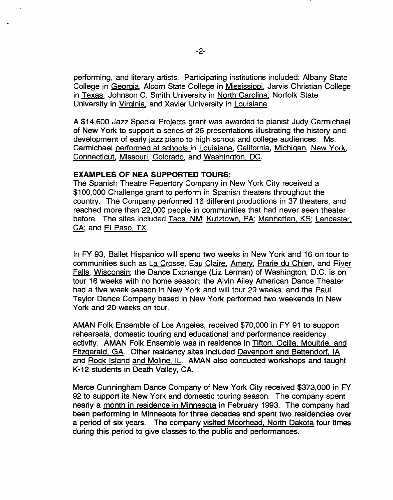performing, and literary artists. Participating institutions included: Albany State College in Georgia, Alcorn State College in Mississippi, Jarvis Christian College in Texas. Johnson C. Smith University in North Carolina, Norfolk State University in Virginia, and Xavier University in Louisiana.

A \$14,600 Jazz Special Projects grant was awarded to pianist Judy Carmichael of New York to support a series of 25 presentations illustrating the history and development of early jazz piano to high school and college audiences. Ms. Carmichael performed at schools in Louisiana, California, Michigan, New York, Connecticut. Missouri, Colorado, and Washington. DC.

#### EXAMPLES OF NEA SUPPORTED TOURS:

The Spanish Theatre Repertory Company in New York City received a \$100,000 Challenge grant to perform in Spanish theaters throughout the country. The Company performed 16 different productions in 37 theaters, and reached more than 22,000 people in communities that had never seen theater before. The sites included Taos. NM; Kutztown. PA; Manhattan. KS; Lancaster. CA; and El Paso. TX.

In FY 93, Ballet Hispanico will spend two weeks in New York and 16 on tour to communities such as La Crosse, Eau Claire, Amery, Prarie du Chien, and River Falls, Wisconsin; the Dance Exchange (Liz Lerman) of Washington, D.C. is on tour 16 weeks with no home season; the Alvin Ailey American Dance Theater had a five week season in New York and will tour 29 weeks; and the Paul Taylor Dance Company based in New York performed two weekends in New York and 20 weeks on tour.

AMAN Folk Ensemble of Los Angeles, received \$70,000 in FY 91 to support rehearsals, domestic touring and educational and performance residency activity. AMAN Folk Ensemble was in residence in Tifton. Ocilla. Moultrie. and Fitzgerald. GA. Other residency sites included Davenport and Bettendorf. IA and Rock Island and Moline. IL. AMAN also conducted workshops and taught K-12 students in Death Valley, CA.

Merce Cunningham Dance Company of New York City received \$373,000 in FY 92 to support its New York and domestic touring season. The company spent nearly a month in residence in Minnesota in February 1993. The company had been performing in Minnesota for three decades and spent two residencies over a period of six years. The company visited Moorhead. North Dakota four times during this period to give classes to the public and performances.